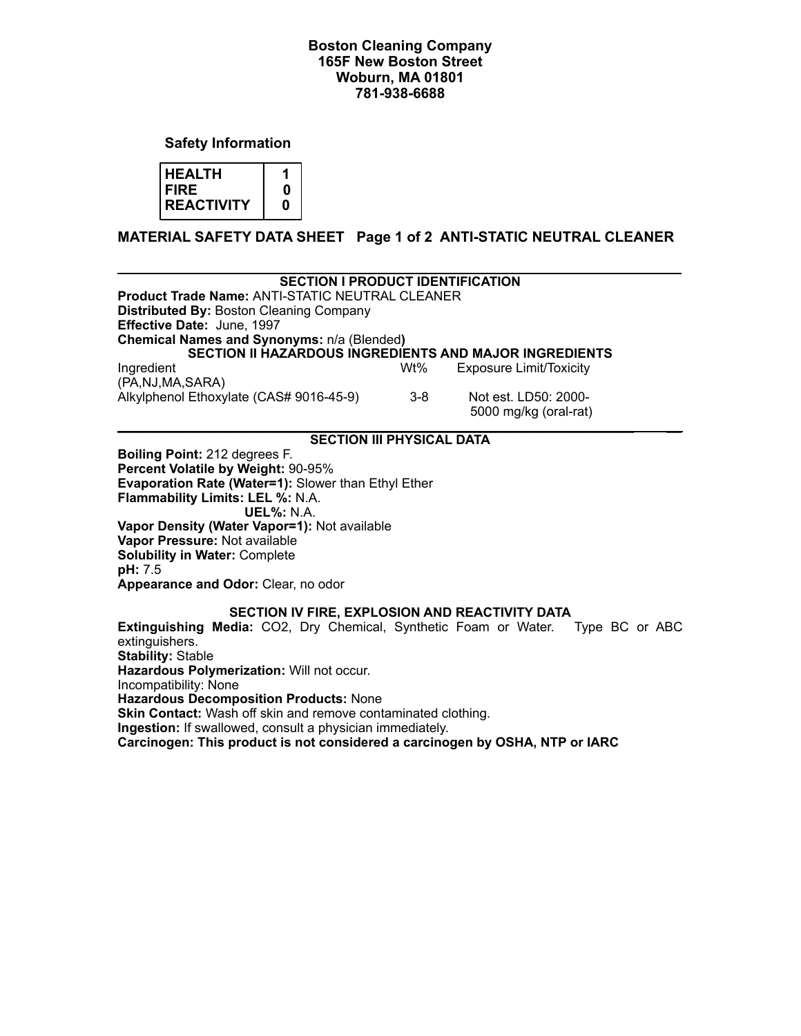## **Boston Cleaning Company 165F New Boston Street Woburn, MA 01801 781-938-6688**

**Safety Information**

| <b>I HEALTH</b> |  |
|-----------------|--|
| I FIRE          |  |
| REACTIVITY      |  |

**MATERIAL SAFETY DATA SHEET Page 1 of 2 ANTI-STATIC NEUTRAL CLEANER** 

| <b>SECTION I PRODUCT IDENTIFICATION</b><br><b>Product Trade Name: ANTI-STATIC NEUTRAL CLEANER</b><br><b>Distributed By: Boston Cleaning Company</b><br>Effective Date: June, 1997<br>Chemical Names and Synonyms: n/a (Blended)<br>SECTION II HAZARDOUS INGREDIENTS AND MAJOR INGREDIENTS<br>Ingredient                                                                                                                                                                                                             | Wt%     | <b>Exposure Limit/Toxicity</b>                |                |
|---------------------------------------------------------------------------------------------------------------------------------------------------------------------------------------------------------------------------------------------------------------------------------------------------------------------------------------------------------------------------------------------------------------------------------------------------------------------------------------------------------------------|---------|-----------------------------------------------|----------------|
| (PA, NJ, MA, SARA)<br>Alkylphenol Ethoxylate (CAS# 9016-45-9)                                                                                                                                                                                                                                                                                                                                                                                                                                                       | $3 - 8$ | Not est. LD50: 2000-<br>5000 mg/kg (oral-rat) |                |
| <b>SECTION III PHYSICAL DATA</b>                                                                                                                                                                                                                                                                                                                                                                                                                                                                                    |         |                                               |                |
| <b>Boiling Point: 212 degrees F.</b><br>Percent Volatile by Weight: 90-95%<br>Evaporation Rate (Water=1): Slower than Ethyl Ether<br>Flammability Limits: LEL %: N.A.<br>UEL%: N.A.<br>Vapor Density (Water Vapor=1): Not available<br>Vapor Pressure: Not available<br><b>Solubility in Water: Complete</b><br>pH: 7.5<br>Appearance and Odor: Clear, no odor                                                                                                                                                      |         |                                               |                |
| SECTION IV FIRE, EXPLOSION AND REACTIVITY DATA<br><b>Extinguishing Media:</b> CO2, Dry Chemical, Synthetic Foam or Water.<br>extinguishers.<br><b>Stability: Stable</b><br>Hazardous Polymerization: Will not occur.<br>Incompatibility: None<br><b>Hazardous Decomposition Products: None</b><br><b>Skin Contact:</b> Wash off skin and remove contaminated clothing.<br>Ingestion: If swallowed, consult a physician immediately.<br>Carcinogen: This product is not considered a carcinogen by OSHA, NTP or IARC |         |                                               | Type BC or ABC |